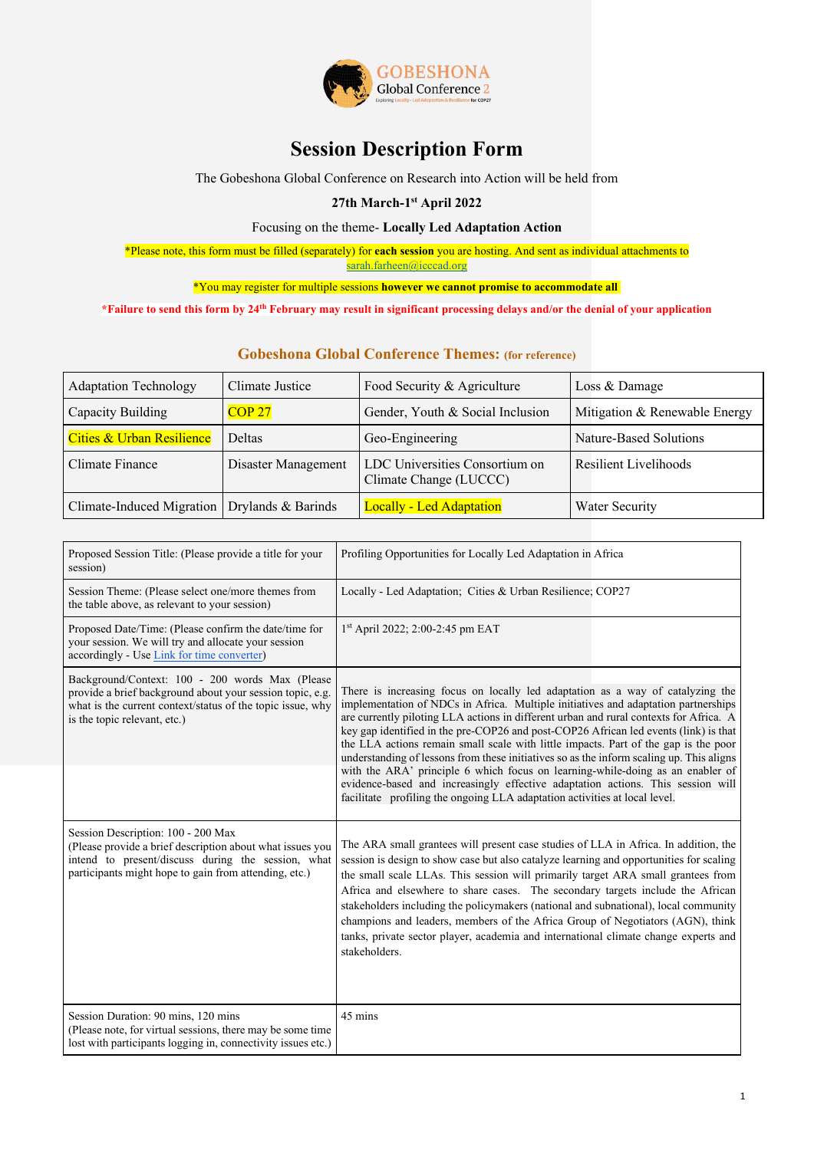1



## **Session Description Form**

The Gobeshona Global Conference on Research into Action will be held from

\*Please note, this form must be filled (separately) for **each session** you are hosting. And sent as individual attachments to [sarah.farheen@icccad.org](mailto:sarah.farheen@icccad.org)

## **27th March-1 st April 2022**

Focusing on the theme- **Locally Led Adaptation Action**

\*You may register for multiple sessions **however we cannot promise to accommodate all**

**\*Failure to send this form by 24th February may result in significant processing delays and/or the denial of your application**

## **Gobeshona Global Conference Themes: (for reference)**

| <b>Adaptation Technology</b>         | Climate Justice     | Food Security & Agriculture                              | Loss & Damage                 |
|--------------------------------------|---------------------|----------------------------------------------------------|-------------------------------|
| Capacity Building                    | <b>COP 27</b>       | Gender, Youth & Social Inclusion                         | Mitigation & Renewable Energy |
| <b>Cities &amp; Urban Resilience</b> | Deltas              | Geo-Engineering                                          | <b>Nature-Based Solutions</b> |
| Climate Finance                      | Disaster Management | LDC Universities Consortium on<br>Climate Change (LUCCC) | <b>Resilient Livelihoods</b>  |
| Climate-Induced Migration            | Drylands & Barinds  | <b>Locally - Led Adaptation</b>                          | <b>Water Security</b>         |

| Proposed Session Title: (Please provide a title for your<br>session)                                                                                                                                           | Profiling Opportunities for Locally Led Adaptation in Africa                                                                                                                                                                                                                                                                                                                                                                                                                                                                                                                                                                                                                                                                                                                                 |  |
|----------------------------------------------------------------------------------------------------------------------------------------------------------------------------------------------------------------|----------------------------------------------------------------------------------------------------------------------------------------------------------------------------------------------------------------------------------------------------------------------------------------------------------------------------------------------------------------------------------------------------------------------------------------------------------------------------------------------------------------------------------------------------------------------------------------------------------------------------------------------------------------------------------------------------------------------------------------------------------------------------------------------|--|
| Session Theme: (Please select one/more themes from<br>the table above, as relevant to your session)                                                                                                            | Locally - Led Adaptation; Cities & Urban Resilience; COP27                                                                                                                                                                                                                                                                                                                                                                                                                                                                                                                                                                                                                                                                                                                                   |  |
| Proposed Date/Time: (Please confirm the date/time for<br>your session. We will try and allocate your session<br>accordingly - Use Link for time converter)                                                     | $1st$ April 2022; 2:00-2:45 pm EAT                                                                                                                                                                                                                                                                                                                                                                                                                                                                                                                                                                                                                                                                                                                                                           |  |
| Background/Context: 100 - 200 words Max (Please<br>provide a brief background about your session topic, e.g.<br>what is the current context/status of the topic issue, why<br>is the topic relevant, etc.)     | There is increasing focus on locally led adaptation as a way of catalyzing the<br>implementation of NDCs in Africa. Multiple initiatives and adaptation partnerships<br>are currently piloting LLA actions in different urban and rural contexts for Africa. A<br>key gap identified in the pre-COP26 and post-COP26 African led events (link) is that<br>the LLA actions remain small scale with little impacts. Part of the gap is the poor<br>understanding of lessons from these initiatives so as the inform scaling up. This aligns<br>with the ARA' principle 6 which focus on learning-while-doing as an enabler of<br>evidence-based and increasingly effective adaptation actions. This session will<br>facilitate profiling the ongoing LLA adaptation activities at local level. |  |
| Session Description: 100 - 200 Max<br>(Please provide a brief description about what issues you<br>intend to present/discuss during the session, what<br>participants might hope to gain from attending, etc.) | The ARA small grantees will present case studies of LLA in Africa. In addition, the<br>session is design to show case but also catalyze learning and opportunities for scaling<br>the small scale LLAs. This session will primarily target ARA small grantees from<br>Africa and elsewhere to share cases. The secondary targets include the African<br>stakeholders including the policymakers (national and subnational), local community<br>champions and leaders, members of the Africa Group of Negotiators (AGN), think<br>tanks, private sector player, academia and international climate change experts and<br>stakeholders.                                                                                                                                                        |  |
| Session Duration: 90 mins, 120 mins<br>(Please note, for virtual sessions, there may be some time<br>lost with participants logging in, connectivity issues etc.)                                              | 45 mins                                                                                                                                                                                                                                                                                                                                                                                                                                                                                                                                                                                                                                                                                                                                                                                      |  |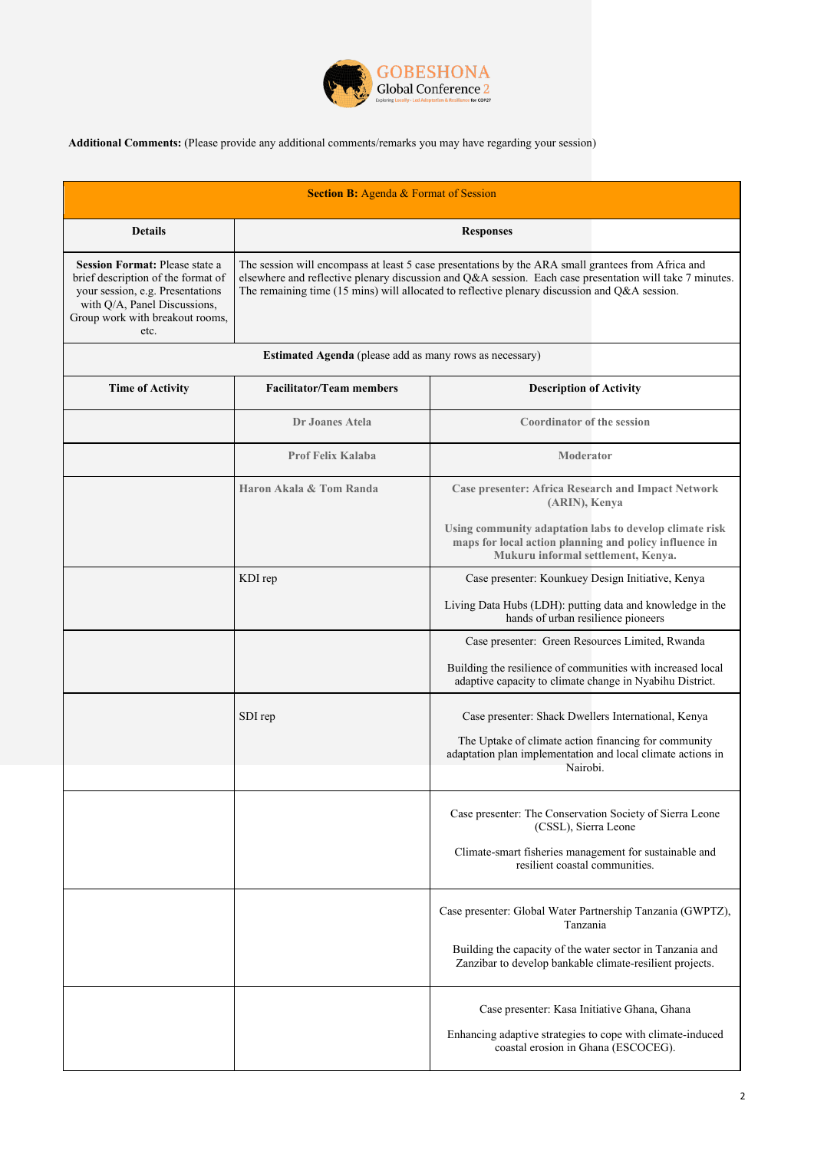

**Additional Comments:** (Please provide any additional comments/remarks you may have regarding your session)

| <b>Section B:</b> Agenda & Format of Session                                                                                                                                               |                                                                                                                                                                                                                                                                                                                 |                                                                                                                                                         |  |  |
|--------------------------------------------------------------------------------------------------------------------------------------------------------------------------------------------|-----------------------------------------------------------------------------------------------------------------------------------------------------------------------------------------------------------------------------------------------------------------------------------------------------------------|---------------------------------------------------------------------------------------------------------------------------------------------------------|--|--|
| <b>Details</b>                                                                                                                                                                             | <b>Responses</b>                                                                                                                                                                                                                                                                                                |                                                                                                                                                         |  |  |
| <b>Session Format: Please state a</b><br>brief description of the format of<br>your session, e.g. Presentations<br>with Q/A, Panel Discussions,<br>Group work with breakout rooms,<br>etc. | The session will encompass at least 5 case presentations by the ARA small grantees from Africa and<br>elsewhere and reflective plenary discussion and Q&A session. Each case presentation will take 7 minutes.<br>The remaining time (15 mins) will allocated to reflective plenary discussion and Q&A session. |                                                                                                                                                         |  |  |
| <b>Estimated Agenda</b> (please add as many rows as necessary)                                                                                                                             |                                                                                                                                                                                                                                                                                                                 |                                                                                                                                                         |  |  |
| <b>Time of Activity</b>                                                                                                                                                                    | <b>Facilitator/Team members</b>                                                                                                                                                                                                                                                                                 | <b>Description of Activity</b>                                                                                                                          |  |  |
|                                                                                                                                                                                            | Dr Joanes Atela                                                                                                                                                                                                                                                                                                 | <b>Coordinator of the session</b>                                                                                                                       |  |  |
|                                                                                                                                                                                            | <b>Prof Felix Kalaba</b>                                                                                                                                                                                                                                                                                        | <b>Moderator</b>                                                                                                                                        |  |  |
|                                                                                                                                                                                            | Haron Akala & Tom Randa                                                                                                                                                                                                                                                                                         | <b>Case presenter: Africa Research and Impact Network</b><br>(ARIN), Kenya                                                                              |  |  |
|                                                                                                                                                                                            |                                                                                                                                                                                                                                                                                                                 | Using community adaptation labs to develop climate risk<br>maps for local action planning and policy influence in<br>Mukuru informal settlement, Kenya. |  |  |
|                                                                                                                                                                                            | KDI rep                                                                                                                                                                                                                                                                                                         | Case presenter: Kounkuey Design Initiative, Kenya                                                                                                       |  |  |
|                                                                                                                                                                                            |                                                                                                                                                                                                                                                                                                                 | Living Data Hubs (LDH): putting data and knowledge in the<br>hands of urban resilience pioneers                                                         |  |  |
|                                                                                                                                                                                            |                                                                                                                                                                                                                                                                                                                 | Case presenter: Green Resources Limited, Rwanda                                                                                                         |  |  |
|                                                                                                                                                                                            |                                                                                                                                                                                                                                                                                                                 | Building the resilience of communities with increased local<br>adaptive capacity to climate change in Nyabihu District.                                 |  |  |
|                                                                                                                                                                                            | SDI rep                                                                                                                                                                                                                                                                                                         | Case presenter: Shack Dwellers International, Kenya                                                                                                     |  |  |
|                                                                                                                                                                                            |                                                                                                                                                                                                                                                                                                                 | The Uptake of climate action financing for community<br>adaptation plan implementation and local climate actions in<br>Nairobi.                         |  |  |
|                                                                                                                                                                                            |                                                                                                                                                                                                                                                                                                                 | Case presenter: The Conservation Society of Sierra Leone<br>(CSSL), Sierra Leone                                                                        |  |  |
|                                                                                                                                                                                            |                                                                                                                                                                                                                                                                                                                 | Climate-smart fisheries management for sustainable and<br>resilient coastal communities.                                                                |  |  |

|  | Case presenter: Global Water Partnership Tanzania (GWPTZ),<br>Tanzania<br>Building the capacity of the water sector in Tanzania and<br>Zanzibar to develop bankable climate-resilient projects. |
|--|-------------------------------------------------------------------------------------------------------------------------------------------------------------------------------------------------|
|  | Case presenter: Kasa Initiative Ghana, Ghana<br>Enhancing adaptive strategies to cope with climate-induced<br>coastal erosion in Ghana (ESCOCEG).                                               |